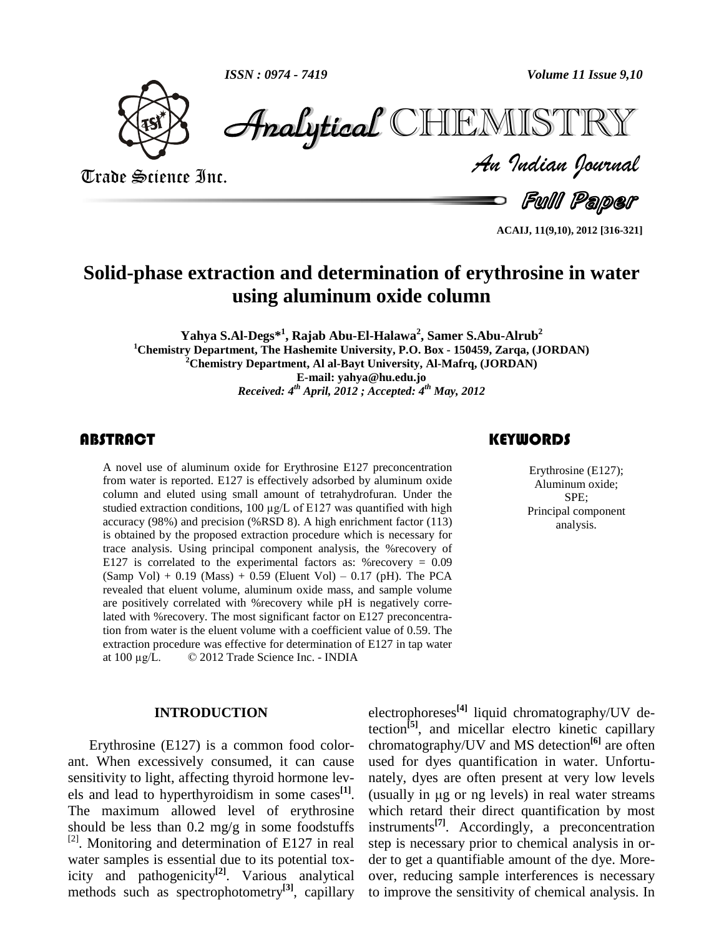

Volume 11 Issue 9,10<br>
Trade Science Inc.<br>
Trade Science Inc.<br>
Trade Science Inc.<br>
Trade Science Inc.<br>
Trade *Trade Science Inc.*  $\mathscr{F}$ nalytical CHIEMISTRY

**Full Paper** 

**ACAIJ, 11(9,10), 2012 [316-321]**

# **Solid-phase extraction and determination of erythrosine in water using aluminum oxide column**

**Yahya S.Al-Degs\* 1 , Rajab Abu-El-Halawa 2 , Samer S.Abu-Alrub 2 <sup>1</sup>Chemistry Department, The Hashemite University, P.O. Box - 150459, Zarqa, (JORDAN) <sup>2</sup>Chemistry Department, Al al-Bayt University, Al-Mafrq, (JORDAN) E-mail: [yahya@hu.edu.jo](mailto:yahya@hu.edu.jo)** *Received: 4 th April, 2012 ; Accepted: 4 th May, 2012*

## **ABSTRACT**

A novel use of aluminum oxide for Erythrosine E127 preconcentration<br>from water is reported. E127 is effectively adsorbed by aluminum oxide<br>column and eluted using small amount of tetrahydrofuran. Under the SPE: A novel use of aluminum oxide for Erythrosine E127 preconcentration from water is reported. E127 is effectively adsorbed by aluminum oxide column and eluted using small amount of tetrahydrofuran. Under the from water is reported. E127 is effectively adsorbed by aluminum oxide column and eluted using small amount of tetrahydrofuran. Under the studied extraction conditions,  $100 \mu g/L$  of E127 was quantified with high accuracy (98%) and precision (%RSD 8). A high enrichment factor (113) is obtained by the proposed extraction procedure which is necessary for trace analysis. Using principal component analysis, the %recovery of E127 is correlated to the experimental factors as: % recovery  $= 0.09$  $(Samp Vol) + 0.19 (Mass) + 0.59 (Eluent Vol) - 0.17 (pH)$ . The PCA revealed that eluent volume, aluminum oxide mass, and sample volume are positively correlated with %recovery while pH is negatively correlated with %recovery. The most significant factor on E127 preconcentration from water is the eluent volume with a coefficient value of 0.59. The extraction procedure was effective for determination of E127 in tap water tion from water is the eluent volume with a coefficient value of 0.5 extraction procedure was effective for determination of E127 in tap at  $100 \mu g/L$ . © 2012 Trade Science Inc. - INDIA

#### **INTRODUCTION**

Erythrosine (E127) is a common food color ant. When excessively consumed, it can cause sensitivity to light, affecting thyroid hormone lev els and lead to hyperthyroidism in some cases **[1]**. The maximum allowed level of erythrosine should be less than  $0.2 \text{ mg/g}$  in some foodstuffs  $^{[2]}$ . Monitoring and determination of E127 in real water samples is essential due to its potential toxicity and pathogenicity<sup>[2]</sup>. Various analytical ov methods such as spectrophotometry<sup>[3]</sup>, capillary to imp

# **KEYWORDS**

Erythrosine (E127); Aluminum oxide; SPE; Principal component analysis.

electrophoreses **[4]** liquid chromatography/UV detection **[5]**, and micellar electro kinetic capillary chromatography/UV and MS detection **[6]** are often used for dyes quantification in water. Unfortu-<br>nately, dyes are often present at very low levels<br>(usually in µg or ng levels) in real water streams nately, dyes are often present at very low levels which retard their direct quantification by most instruments **[7]**. Accordingly, a preconcentration step is necessary prior to chemical analysis in or der to get a quantifiable amount of the dye. More over, reducing sample interferences is necessary to improve the sensitivity of chemical analysis. In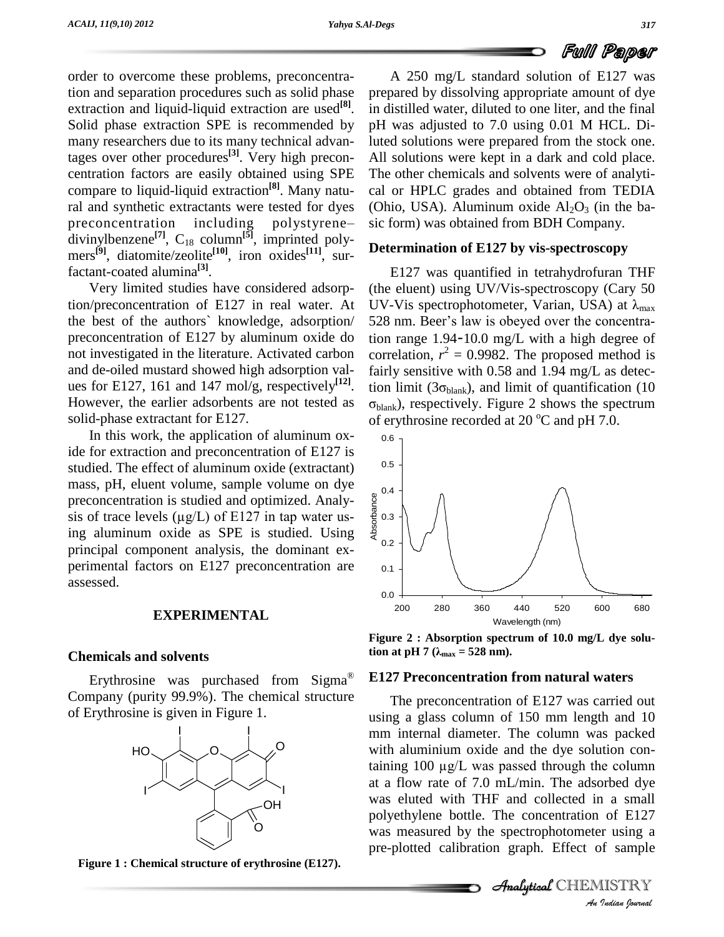order to overcome these problems, preconcentration and separation procedures such as solid phase extraction and liquid-liquid extraction are used<sup>[8]</sup>. in di Solid phase extraction SPE is recommended by many researchers due to its many technical advantages over other procedures **[3]**. Very high precon centration factors are easily obtained using SPE compare to liquid-liquid extraction<sup>[8]</sup>. Many natu- cal or ral and synthetic extractants were tested for dyes (Ohio, preconcentration including polystyrene— sic form ral and synthetic extractants were tested for dyes divinylbenzene<sup>[7]</sup>,  $C_{18}$  column<sup>[5]</sup>, imprinted polymers **[9]**, diatomite/zeolite **[10]**, iron oxides **[11]**, surfactant-coated alumina **[3]**.

Very limited studies have considered adsorption/preconcentration of E127 in real water. At the best of the authors` knowledge, adsorption/ preconcentration of E127 by aluminum oxide do not investigated in the literature. Activated carbon and de-oiled mustard showed high adsorption val ues for E127, 161 and 147 mol/g, respectively<sup>[12]</sup>. tion However, the earlier adsorbents are not tested as solid-phase extractant for E127.

In this work, the application of aluminum oxide for extraction and preconcentration of E127 is studied. The effect of aluminum oxide (extractant) mass, pH, eluent volume, sample volume on dye preconcentration is studied and optimized. Analy mass, pH, eluent volume, sample volume on dye<br>preconcentration is studied and optimized. Analy-<br>sis of trace levels (µg/L) of E127 in tap water using aluminum oxide as SPE is studied. Using principal component analysis, the dominant ex perimental factors on E127 preconcentration are assessed.

#### **EXPERIMENTAL**

#### **Chemicals and solvents**

emicals and solvents<br>Erythrosine was purchased from  $Sigma^{\circ}$  E127 Preconcentration for E127 Preconcentration for E127 Preconcentration for E127 Preconcentration for E127 Preconcentration for E127 Preconcentration for E127 Company (purity 99.9%). The chemical structure of Erythrosine is given in Figure 1.



**Figure 1 : Chemical structure of erythrosine (E127).**

A 250 mg/L standard solution of E127 was prepared by dissolving appropriate amount of dye in distilled water, diluted to one liter, and the final pH was adjusted to 7.0 using 0.01 M HCL. Diluted solutions were prepared from the stock one. All solutions were kept in a dark and cold place. The other chemicals and solvents were of analyti cal or HPLC grades and obtained from TEDIA (Ohio, USA). Aluminum oxide  $Al_2O_3$  (in the basic form) was obtained from BDH Company.

# **Determination of E127 by vis-spectroscopy**

E127 was quantified in tetrahydrofuran THF (the eluent) using UV/Vis-spectroscopy (Cary 50 UV-Vis spectrophotometer, Varian, USA) at  $\lambda_{\text{max}}$ 528 nm. Beer's law is obeyed over the concentration range 1.94-10.0 mg/L with <sup>a</sup> high degree of correlation,  $r^2 = 0.9982$ . The proposed method is fairly sensitive with 0.58 and 1.94 mg/L as detection limit (3 $\sigma_{\text{blank}}$ ), and limit of quantification (10 fairly sensitive with 0.58 and  $\overline{1.94}$  mg/L as detec- $\sigma_{\text{blank}}$ ), respectively. Figure 2 shows the spectrum of erythrosine recorded at 20  $^{\circ}$ C and pH 7.0.



**Figure 2 : Absorption spectrum of 10.0 mg/L dye solution at pH <sup>7</sup> (Îmax <sup>=</sup> <sup>528</sup> nm).**

#### **E127 Preconcentration from natural waters**

was eluted with THF and collected in a small  $\frac{1}{100}$   $\frac{1}{100}$   $\frac{1}{100}$ *I* a small<br>of E127<br>*I* sample<br>**IISTRY**<br>*Indian bouvual* The preconcentration of E127 was carried out using a glass column of 150 mm length and 10 mm internal diameter. The column was packed<br>with aluminium oxide and the dye solution con-<br>taining 100  $\mu$ g/L was passed through the column with aluminium oxide and the dye solution conat a flow rate of 7.0 mL/min. The adsorbed dye polyethylene bottle. The concentration of E127 was measured by the spectrophotometer using a pre-plotted calibration graph. Effect of sample



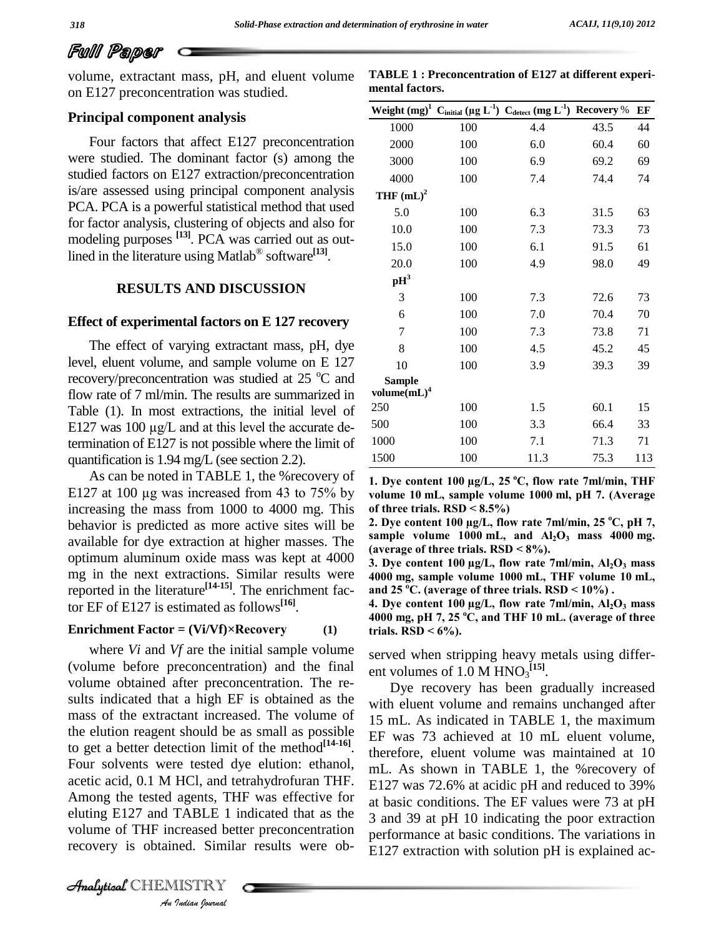# Full Paper

volume, extractant mass, pH, and eluent volume on E127 preconcentration was studied.

**TABLE 1 : Preconcentration of E127 at different experi mental factors. 1**  $\overline{\text{C}_{\text{initial}}}$   $(\mu \text{g } \text{L}^{-1})$   $\overline{\text{C}_{\text{detect}}}$   $(\text{m})$ 

### **Principal component analysis**

Four factors that affect E127 preconcentration were studied. The dominant factor (s) among the studied factors on E127 extraction/preconcentration is/are assessed using principal component analysis PCA. PCA is a powerful statistical method that used for factor analysis, clustering of objects and also for Æmodeling purposes **[13]**. PCA was carried out as outlined in the literature using Matlab<sup>®</sup> software<sup>[13]</sup>.

# **RESULTS AND DISCUSSION**

#### **Effect of experimental factors on E 127 recovery**

The effect of varying extractant mass, pH, dye level, eluent volume, and sample volume on E 127 recovery/preconcentration was studied at  $25^{\circ}$ C and Sample flow rate of 7 ml/min. The results are summarized in Table (1). In most extractions, the initial level of  $250$ flow rate of 7 ml/min. The results are summarized in<br>Table (1). In most extractions, the initial level of  $^{22}$ <br>E127 was 100  $\mu$ g/L and at this level the accurate determination of  $E127$  is not possible where the limit of quantification is 1.94 mg/L (see section 2.2).

As can be noted in TABLE 1, the %recovery of E127 at <sup>100</sup> µg was increased from <sup>43</sup> to 75% by increasing the mass from 1000 to 4000 mg. This of three trials.  $\text{RSD} < 8.5\%$ ) behavior is predicted as more active sites will be available for dye extraction at higher masses. The optimum aluminum oxide mass was kept at 4000 mg in the next extractions. Similar results were reported in the literature **[14-15]**. The enrichment factor EF of E127 is estimated as follows **[16]**. **Enrichment Factor <sup>=</sup> (Vi/Vf)×Recovery (1)**

Among the tested agents, THF was effective for at b Finding E127 and TABLE 1 indicated that as the 3 and<br>
volume of THF increased better preconcentration<br>
recovery is obtained. Similar results were ob-<br>
E127<br> *Analytical* CHEMISTRY where *Vi* and *Vf* are the initial sample volume (volume before preconcentration) and the final volume obtained after preconcentration. The re sults indicated that a high EF is obtained as the mass of the extractant increased. The volume of the elution reagent should be as small as possible to get a better detection limit of the method<sup>[14-16]</sup>.  $\frac{12}{16}$ Four solvents were tested dye elution: ethanol, acetic acid, 0.1 M HCl, and tetrahydrofuran THF. volume of THF increased better preconcentration recovery is obtained. Similar results were ob-

|                                  |     | Weight $(mg)^1$ C <sub>initial</sub> (µg L <sup>-1</sup> ) C <sub>detect</sub> (mg L <sup>-1</sup> ) Recovery % |      | EF  |
|----------------------------------|-----|-----------------------------------------------------------------------------------------------------------------|------|-----|
| 1000                             | 100 | 4.4                                                                                                             | 43.5 | 44  |
| 2000                             | 100 | 6.0                                                                                                             | 60.4 | 60  |
| 3000                             | 100 | 6.9                                                                                                             | 69.2 | 69  |
| 4000                             | 100 | 7.4                                                                                                             | 74.4 | 74  |
| THF $(mL)^2$                     |     |                                                                                                                 |      |     |
| 5.0                              | 100 | 6.3                                                                                                             | 31.5 | 63  |
| 10.0                             | 100 | 7.3                                                                                                             | 73.3 | 73  |
| 15.0                             | 100 | 6.1                                                                                                             | 91.5 | 61  |
| 20.0                             | 100 | 4.9                                                                                                             | 98.0 | 49  |
| $\mathbf{p}$ H <sup>3</sup>      |     |                                                                                                                 |      |     |
| 3                                | 100 | 7.3                                                                                                             | 72.6 | 73  |
| 6                                | 100 | 7.0                                                                                                             | 70.4 | 70  |
| 7                                | 100 | 7.3                                                                                                             | 73.8 | 71  |
| 8                                | 100 | 4.5                                                                                                             | 45.2 | 45  |
| 10                               | 100 | 3.9                                                                                                             | 39.3 | 39  |
| <b>Sample</b><br>volume $(mL)^4$ |     |                                                                                                                 |      |     |
| 250                              | 100 | 1.5                                                                                                             | 60.1 | 15  |
| 500                              | 100 | 3.3                                                                                                             | 66.4 | 33  |
| 1000                             | 100 | 7.1                                                                                                             | 71.3 | 71  |
| 1500                             | 100 | 11.3                                                                                                            | 75.3 | 113 |
|                                  |     | 1. Dye content 100 $\mu$ g/L, 25 °C, flow rate 7ml/min, THF                                                     |      |     |

**Property 19.5 To 19.5 Theory**<br> **Pontent 100 µg/L, 25 °C, flow rate 7ml/min, THF**<br> **PDP 10 mL, sample volume 1000 ml, pH** 7. (Average 1. Dye content  $100 \mu g/L$ ,  $25 \degree C$ , fl<br>volume  $10 \text{ mL}$ , sample volume  $10 \text{ of three trials}$ .  $RSD < 8.5\%$ ) **\thermarrow 10 mL, sample volume 1000 ml, pH 7. (Average of three trials. RSD < 8.5%)<br>2. Dye content 100 µg/L, flow rate 7ml/min, 25 °C, pH 7.** 

of three trials. RSD < 8.5%)<br>2. Dye content 100 µg/L, flow rate 7ml/min, 25 °C, pH 7,<br>sample volume 1000 mL, and Al<sub>2</sub>O<sub>3</sub> mass 4000 mg. **2.** Dye content  $100 \mu g/L$ , flow rate  $7 \text{ml/m}$ <br>sample volume  $1000 \text{ mL}$ , and  $Al_2O_3$ <br>(average of three trials. RSD <  $8\%$ ). **sample volume 1000 mL, and**  $\text{Al}_2\text{O}_3$  **mass 4000 mg. P** mass (average of three trials.  $RSD < 8\%$ ).

(average of three trials. RSD < 8%).<br>3. Dye content 100  $\mu$ g/L, flow rate 7ml/min, Al<sub>2</sub>O<sub>3</sub> mass<br>4000 mg. sample volume 1000 mL. THF volume 10 mL. **R**  $\overline{AB}$  **Dye content 100 µg/L, flow rate 7ml/min,**  $\overline{AJO_3}$  **<b>n**  $\overline{AO00}$  mg, sample volume 1000 mL, THF volume 10  $\overline{AD}$  and 25 °C. (average of three trials, RSD  $\leq 10\%$ ). **4000 mg, sample volume 1000 mL, THF volume 10 mL, mL**,<br>mass and  $25\,^{\circ}$ C. (average of three

 $5\text{ }^{\circ}\text{C}$ . (average of three trials. RSD <  $10\%$ ).<br> **e** content 100 µg/L, flow rate 7ml/min, Al<sub>2</sub>O<sub>3</sub> mass<br>
mg, pH 7, 25 °C, and THF 10 mL. (average of three **4. Dye content 100 µg/l**<br>4000 mg, pH 7, 25 °C, a<br>trials. RSD < 6%).

served when stripping heavy metals using differ ent volumes of  $1.0 \text{ M HNO}_3$ <sup>[15]</sup>.

Dye recovery has been gradually increased with eluent volume and remains unchanged after 15 mL. As indicated in TABLE 1, the maximum EF was 73 achieved at 10 mL eluent volume, therefore, eluent volume was maintained at 10 mL. As shown in TABLE 1, the %recovery of E127 was 72.6% at acidic pH and reduced to 39% at basic conditions. The EF values were 73 at pH 3 and 39 at pH 10 indicating the poor extraction performance at basic conditions. The variations in E127 extraction with solution pH is explained ac-

 $\mathcal{A}$ nalytical CHEMISTRY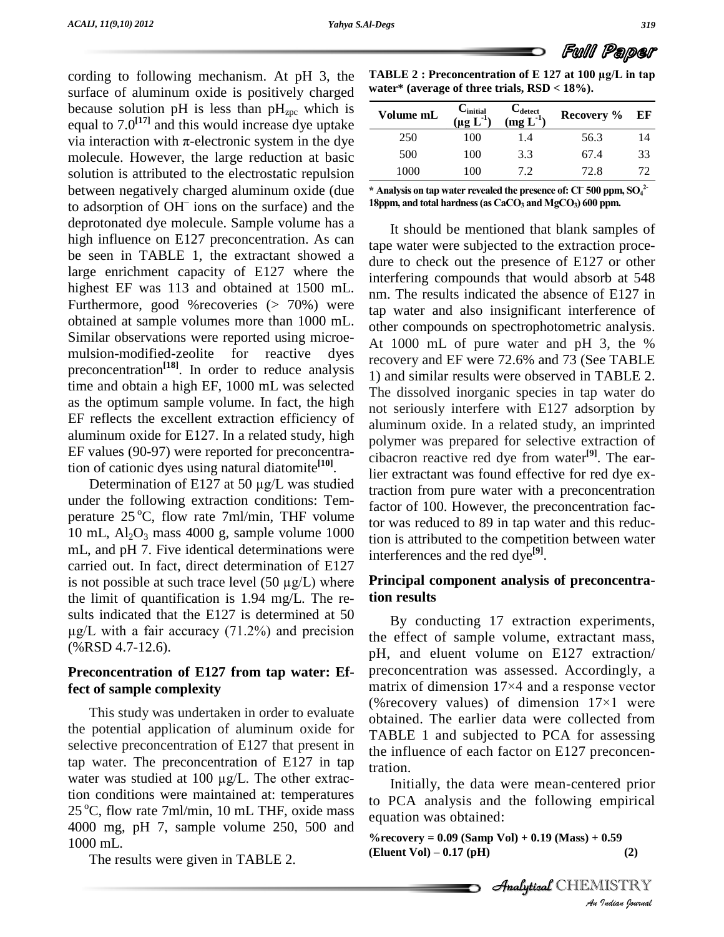cording to following mechanism. At pH 3, the surface of aluminum oxide is positively charged because solution pH is less than  $pH_{zpc}$  which is equal to  $7.0^{[17]}$  and this would increase dye uptake  $\frac{1000}{2}$ because solution pH is less than  $pH_{\text{zpc}}$  which is equal to 7.0<sup>[17]</sup> and this would increase dye uptake via interaction with  $\pi$ -electronic system in the dye molecule. However, the large reduction at basic solution is attributed to the electrostatic repulsion  $\frac{10}{\sqrt{10}}$ between negatively charged aluminum oxide (due  $*$  Analysis on tap water revealed the presence of: CF 500 ppm<br>to adsorption of  $OH^-$  jons on the surface) and the 18ppm, and total hardness (as CaCO<sub>3</sub> and MgCO<sub>3</sub>) 600 ppm. to adsorption of  $OH^-$  ions on the surface) and the  $18$ ppm, deprotonated dye molecule. Sample volume has a high influence on E127 preconcentration. As can be seen in TABLE 1, the extractant showed a large enrichment capacity of E127 where the highest EF was 113 and obtained at 1500 mL. Furthermore, good %recoveries (> 70%) were obtained at sample volumes more than 1000 mL. Similar observations were reported using microe mulsion-modified-zeolite for reactive dyes preconcentration<sup>[18]</sup>. In order to reduce analysis  $\frac{100}{11.2}$ time and obtain a high EF, 1000 mL was selected as the optimum sample volume. In fact, the high EF reflects the excellent extraction efficiency of aluminum oxide for  $E127$ . In a related study, high EF values (90-97) were reported for preconcentration of cationic dyes using natural diatomite **[10]**. values (90-97) were reported for preconcentra-<br>of cationic dyes using natural diatomite<sup>[10]</sup>.<br>Determination of E127 at 50  $\mu$ g/L was studied

under the following extraction conditions: Tem perature 25 °C, flow rate 7ml/min, THF volume  $\frac{1}{100}$ 10 mL,  $Al_2O_3$  mass 4000 g, sample volume 1000 mL, and pH 7. Five identical determinations were carried out. In fact, direct determination of E127 mL, and pH 7. Five identical determinations were<br>carried out. In fact, direct determination of E127<br>is not possible at such trace level  $(50 \mu g/L)$  where **Princ** the limit of quantification is 1.94 mg/L. The re-<br>sults indicated that the E127 is determined at 50<br>ug/L with a fair accuracy (71.2%) and precision sults indicated that the E127 is determined at 50 (%RSD 4.7-12.6).

# **Preconcentration of E127 from tap water: Effect of sample complexity**

the potential application of aluminum oxide for selective preconcentration of E127 that present in<br>tap water. The preconcentration of E127 in tap<br>water was studied at 100 µg/L. The other extractap water. The preconcentration of E127 in tap tion conditions were maintained at: temperatures 25 °C, flow rate 7ml/min, 10 mL THF, oxide mass  $\frac{10}{9}$ 4000 mg, pH 7, sample volume 250, 500 and 1000 mL.

The results were given in TABLE 2.

**TABLE <sup>2</sup> : Preconcentration of <sup>E</sup> <sup>127</sup> at <sup>100</sup> µg/L in tap**

| Volume mL | $C_{initial}$<br>$(\mu{\rm g~L}^{-1})$ | $C_{\text{detect}}$<br>$(mg L-1)$ | Recovery % | EF |
|-----------|----------------------------------------|-----------------------------------|------------|----|
| 250       | 100                                    | 1.4                               | 56.3       | 14 |
| 500       | 100                                    | 3.3                               | 67.4       | 33 |
| 1000      | 100                                    | 7.2                               | 72.8       | 72 |

It should be mentioned that blank samples of tape water were subjected to the extraction proce dure to check out the presence of E127 or other interfering compounds that would absorb at 548 nm. The results indicated the absence of E127 in tap water and also insignificant interference of other compounds on spectrophotometric analysis. At 1000 mL of pure water and pH 3, the % recovery and EF were 72.6% and 73 (See TABLE 1) and similar results were observed in TABLE 2. The dissolved inorganic species in tap water do not seriously interfere with E127 adsorption by aluminum oxide. In a related study, an imprinted polymer was prepared for selective extraction of cibacron reactive red dye from water **[9]**. The earlier extractant was found effective for red dye extraction from pure water with a preconcentration factor of 100. However, the preconcentration factor was reduced to 89 in tap water and this reduction is attributed to the competition between water interferences and the red dye **[9]**.

# **Principal component analysis of preconcentration results**

This study was undertaken in order to evaluate<br>changed. The explicit data was collected from By conducting 17 extraction experiments, the effect of sample volume, extractant mass, pH, and eluent volume on E127 extraction/ preconcentration was assessed. Accordingly, a pH, and eluent volume on E127 extraction/<br>preconcentration was assessed. Accordingly, a<br>matrix of dimension 17×4 and a response vector preconcentration was assessed. Accordingly, a<br>matrix of dimension  $17\times4$  and a response vector<br>(%recovery values) of dimension  $17\times1$  were obtained. The earlier data were collected from TABLE 1 and subjected to PCA for assessing the influence of each factor on E127 preconcentration.

> to PCA analysis and the following empirical Initially, the data were mean-centered prior equation was obtained:

**%recovery = 0.09 (Samp Vol) + 0.19 (Mass) + 0.59** *f equation was obtained.***<br>** *%recovery* **= 0.09 (Samp Vol) + 0.19 (Mass) + 0.59<br>
<b>(Eluent Vol) – 0.17** (pH) (2)

Full Paper

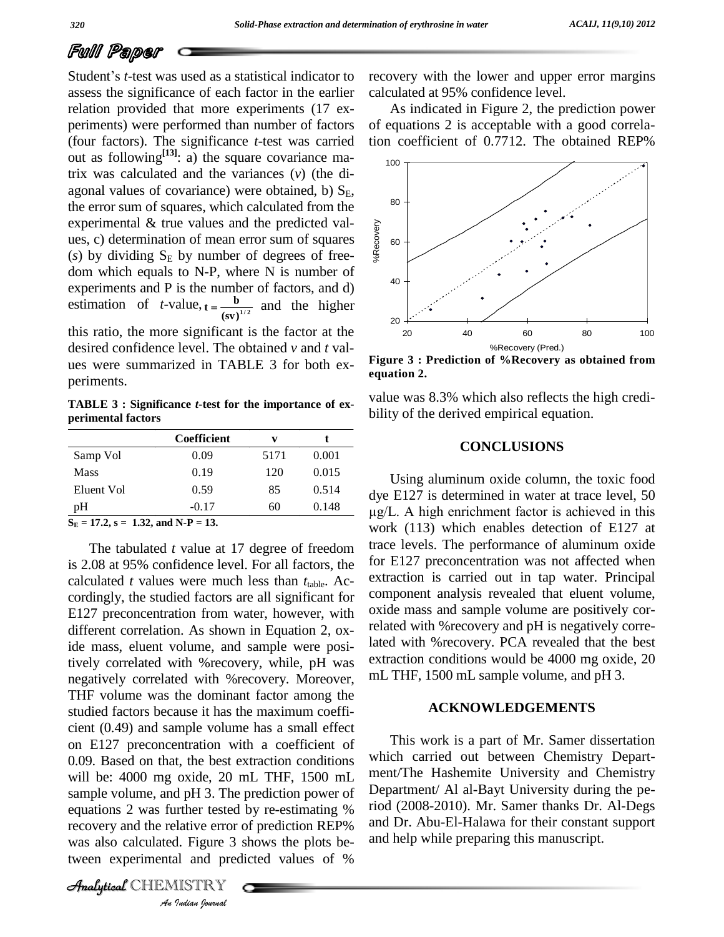# Full Paper

Student's *t*-test was used as a statistical indicator to assess the significance of each factor in the earlier relation provided that more experiments (17 ex periments) were performed than number of factors (four factors). The significance *t*-test was carried out as following **[13]**: a) the square covariance matrix was calculated and the variances (*v*) (the di agonal values of covariance) were obtained, b)  $S_F$ , the error sum of squares, which calculated from the experimental & true values and the predicted val ues, c) determination of mean error sum of squares ( $s$ ) by dividing  $S_E$  by number of degrees of freedom which equals to N-P, where N is number of experiments and P is the number of factors, and d) estimation of  $t$ -value,  $t = \frac{b}{(sv)^{1/2}}$  and the higher this ratio, the more significant is the factor at the desired confidence level. The obtained *v* and *t* val **e** number of fa<br> **t** =  $\frac{b}{\sqrt{112}}$  and

ues were summarized in TABLE 3 for both ex periments.

**TABLE 3 : Significance** *t***-test for the importance of ex perimental factors**

|             | Coefficient | v    |       |
|-------------|-------------|------|-------|
| Samp Vol    | 0.09        | 5171 | 0.001 |
| <b>Mass</b> | 0.19        | 120  | 0.015 |
| Eluent Vol  | 0.59        | 85   | 0.514 |
| pH          | $-0.17$     | 60   | 0.148 |

equations 2 was further tested by re-estimating % riod (2008-2) *Inther tested*<br>*I*. Figure 3 s<br>*I*. Figure 3 s<br>*I*IISTRY The tabulated *t* value at 17 degree of freedom is 2.08 at 95% confidence level. For all factors, the calculated *t* values were much less than  $t_{table}$ . Accordingly, the studied factors are all significant for E127 preconcentration from water, however, with different correlation. As shown in Equation 2, oxide mass, eluent volume, and sample were positively correlated with %recovery, while, pH was negatively correlated with %recovery. Moreover, THF volume was the dominant factor among the studied factors because it has the maximum coeffi cient (0.49) and sample volume has a small effect on E127 preconcentration with a coefficient of 0.09. Based on that, the best extraction conditions will be: 4000 mg oxide, 20 mL THF, 1500 mL sample volume, and pH 3. The prediction power of recovery and the relative error of prediction REP% and Dr. Abu was also calculated. Figure 3 shows the plots between experimental and predicted values of %

**Analytical** CHEMISTRY

recovery with the lower and upper error margins calculated at 95% confidence level.

As indicated in Figure 2, the prediction power of equations 2 is acceptable with a good correlation coefficient of 0.7712. The obtained REP%



**Figure 3 : Prediction of %Recovery as obtained from equation 2.**

value was 8.3% which also reflects the high credi bility of the derived empirical equation.

#### **CONCLUSIONS**

Using aluminum oxide column, the toxic food<br>dye E127 is determined in water at trace level, 50<br>ug/L. A high enrichment factor is achieved in this dye E127 is determined in water at trace level, 50 work (113) which enables detection of E127 at trace levels. The performance of aluminum oxide for E127 preconcentration was not affected when extraction is carried out in tap water. Principal component analysis revealed that eluent volume, oxide mass and sample volume are positively correlated with %recovery and pH is negatively correlated with %recovery. PCA revealed that the best extraction conditions would be 4000 mg oxide, 20 mL THF, 1500 mL sample volume, and pH 3.

#### **ACKNOWLEDGEMENTS**

This work is a part of Mr. Samer dissertation which carried out between Chemistry Depart ment/The Hashemite University and Chemistry Department/ Al al-Bayt University during the period (2008-2010). Mr. Samer thanks Dr. Al-Degs and Dr. Abu-El-Halawa for their constant support and help while preparing this manuscript.